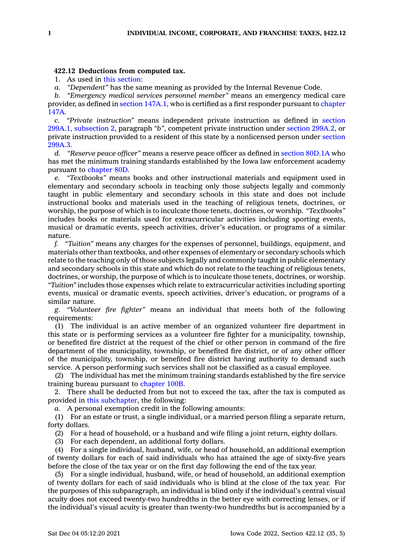## **422.12 Deductions from computed tax.**

1. As used in this [section](https://www.legis.iowa.gov/docs/code/422.12.pdf):

*a. "Dependent"* has the same meaning as provided by the Internal Revenue Code.

*b. "Emergency medical services personnel member"* means an emergency medical care provider, as defined in section [147A.1](https://www.legis.iowa.gov/docs/code/147A.1.pdf), who is certified as <sup>a</sup> first responder pursuant to [chapter](https://www.legis.iowa.gov/docs/code//147A.pdf) [147A](https://www.legis.iowa.gov/docs/code//147A.pdf).

*c. "Private instruction"* means independent private instruction as defined in [section](https://www.legis.iowa.gov/docs/code/299A.1.pdf) 299A.1, [subsection](https://www.legis.iowa.gov/docs/code/299A.1.pdf) 2, paragraph *"b"*, competent private instruction under section [299A.2](https://www.legis.iowa.gov/docs/code/299A.2.pdf), or private instruction provided to <sup>a</sup> resident of this state by <sup>a</sup> nonlicensed person under [section](https://www.legis.iowa.gov/docs/code/299A.3.pdf) [299A.3](https://www.legis.iowa.gov/docs/code/299A.3.pdf).

*d. "Reserve peace officer"* means <sup>a</sup> reserve peace officer as defined in section [80D.1A](https://www.legis.iowa.gov/docs/code/80D.1A.pdf) who has met the minimum training standards established by the Iowa law enforcement academy pursuant to [chapter](https://www.legis.iowa.gov/docs/code//80D.pdf) 80D.

*e. "Textbooks"* means books and other instructional materials and equipment used in elementary and secondary schools in teaching only those subjects legally and commonly taught in public elementary and secondary schools in this state and does not include instructional books and materials used in the teaching of religious tenets, doctrines, or worship, the purpose of which is to inculcate those tenets, doctrines, or worship. *"Textbooks"* includes books or materials used for extracurricular activities including sporting events, musical or dramatic events, speech activities, driver's education, or programs of <sup>a</sup> similar nature.

*f. "Tuition"* means any charges for the expenses of personnel, buildings, equipment, and materials other than textbooks, and other expenses of elementary or secondary schools which relate to the teaching only of those subjects legally and commonly taught in public elementary and secondary schools in this state and which do not relate to the teaching of religious tenets, doctrines, or worship, the purpose of which is to inculcate those tenets, doctrines, or worship. *"Tuition"* includes those expenses which relate to extracurricular activities including sporting events, musical or dramatic events, speech activities, driver's education, or programs of <sup>a</sup> similar nature.

*g.* "*Volunteer fire fighter"* means an individual that meets both of the following requirements:

(1) The individual is an active member of an organized volunteer fire department in this state or is performing services as <sup>a</sup> volunteer fire fighter for <sup>a</sup> municipality, township, or benefited fire district at the request of the chief or other person in command of the fire department of the municipality, township, or benefited fire district, or of any other officer of the municipality, township, or benefited fire district having authority to demand such service. A person performing such services shall not be classified as <sup>a</sup> casual employee.

(2) The individual has met the minimum training standards established by the fire service training bureau pursuant to [chapter](https://www.legis.iowa.gov/docs/code//100B.pdf) 100B.

2. There shall be deducted from but not to exceed the tax, after the tax is computed as provided in this [subchapter](https://www.legis.iowa.gov/docs/code//422.pdf), the following:

*a.* A personal exemption credit in the following amounts:

(1) For an estate or trust, <sup>a</sup> single individual, or <sup>a</sup> married person filing <sup>a</sup> separate return, forty dollars.

(2) For <sup>a</sup> head of household, or <sup>a</sup> husband and wife filing <sup>a</sup> joint return, eighty dollars.

(3) For each dependent, an additional forty dollars.

(4) For <sup>a</sup> single individual, husband, wife, or head of household, an additional exemption of twenty dollars for each of said individuals who has attained the age of sixty-five years before the close of the tax year or on the first day following the end of the tax year.

(5) For <sup>a</sup> single individual, husband, wife, or head of household, an additional exemption of twenty dollars for each of said individuals who is blind at the close of the tax year. For the purposes of this subparagraph, an individual is blind only if the individual's central visual acuity does not exceed twenty-two hundredths in the better eye with correcting lenses, or if the individual's visual acuity is greater than twenty-two hundredths but is accompanied by <sup>a</sup>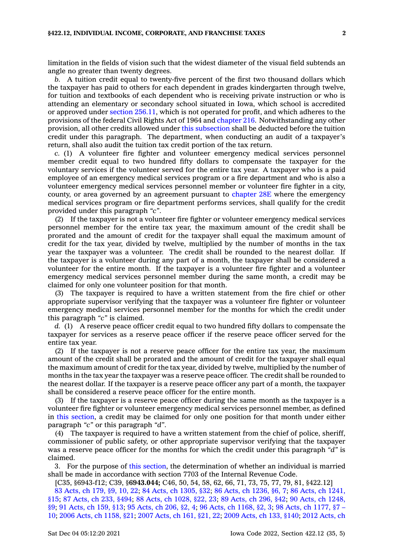limitation in the fields of vision such that the widest diameter of the visual field subtends an angle no greater than twenty degrees.

*b.* A tuition credit equal to twenty-five percent of the first two thousand dollars which the taxpayer has paid to others for each dependent in grades kindergarten through twelve, for tuition and textbooks of each dependent who is receiving private instruction or who is attending an elementary or secondary school situated in Iowa, which school is accredited or approved under section [256.11](https://www.legis.iowa.gov/docs/code/256.11.pdf), which is not operated for profit, and which adheres to the provisions of the federal Civil Rights Act of 1964 and [chapter](https://www.legis.iowa.gov/docs/code//216.pdf) 216. Notwithstanding any other provision, all other credits allowed under this [subsection](https://www.legis.iowa.gov/docs/code/422.12.pdf) shall be deducted before the tuition credit under this paragraph. The department, when conducting an audit of <sup>a</sup> taxpayer's return, shall also audit the tuition tax credit portion of the tax return.

*c.* (1) A volunteer fire fighter and volunteer emergency medical services personnel member credit equal to two hundred fifty dollars to compensate the taxpayer for the voluntary services if the volunteer served for the entire tax year. A taxpayer who is <sup>a</sup> paid employee of an emergency medical services program or <sup>a</sup> fire department and who is also <sup>a</sup> volunteer emergency medical services personnel member or volunteer fire fighter in <sup>a</sup> city, county, or area governed by an agreement pursuant to [chapter](https://www.legis.iowa.gov/docs/code//28E.pdf) 28E where the emergency medical services program or fire department performs services, shall qualify for the credit provided under this paragraph *"c"*.

(2) If the taxpayer is not <sup>a</sup> volunteer fire fighter or volunteer emergency medical services personnel member for the entire tax year, the maximum amount of the credit shall be prorated and the amount of credit for the taxpayer shall equal the maximum amount of credit for the tax year, divided by twelve, multiplied by the number of months in the tax year the taxpayer was <sup>a</sup> volunteer. The credit shall be rounded to the nearest dollar. If the taxpayer is <sup>a</sup> volunteer during any part of <sup>a</sup> month, the taxpayer shall be considered <sup>a</sup> volunteer for the entire month. If the taxpayer is <sup>a</sup> volunteer fire fighter and <sup>a</sup> volunteer emergency medical services personnel member during the same month, <sup>a</sup> credit may be claimed for only one volunteer position for that month.

(3) The taxpayer is required to have <sup>a</sup> written statement from the fire chief or other appropriate supervisor verifying that the taxpayer was <sup>a</sup> volunteer fire fighter or volunteer emergency medical services personnel member for the months for which the credit under this paragraph *"c"* is claimed.

*d.* (1) A reserve peace officer credit equal to two hundred fifty dollars to compensate the taxpayer for services as <sup>a</sup> reserve peace officer if the reserve peace officer served for the entire tax year.

(2) If the taxpayer is not <sup>a</sup> reserve peace officer for the entire tax year, the maximum amount of the credit shall be prorated and the amount of credit for the taxpayer shall equal the maximum amount of credit for the tax year, divided by twelve, multiplied by the number of months in the tax year the taxpayer was <sup>a</sup> reserve peace officer. The credit shall be rounded to the nearest dollar. If the taxpayer is <sup>a</sup> reserve peace officer any part of <sup>a</sup> month, the taxpayer shall be considered <sup>a</sup> reserve peace officer for the entire month.

(3) If the taxpayer is <sup>a</sup> reserve peace officer during the same month as the taxpayer is <sup>a</sup> volunteer fire fighter or volunteer emergency medical services personnel member, as defined in this [section](https://www.legis.iowa.gov/docs/code/422.12.pdf), <sup>a</sup> credit may be claimed for only one position for that month under either paragraph *"c"* or this paragraph *"d"*.

(4) The taxpayer is required to have <sup>a</sup> written statement from the chief of police, sheriff, commissioner of public safety, or other appropriate supervisor verifying that the taxpayer was <sup>a</sup> reserve peace officer for the months for which the credit under this paragraph *"d"* is claimed.

3. For the purpose of this [section](https://www.legis.iowa.gov/docs/code/422.12.pdf), the determination of whether an individual is married shall be made in accordance with section 7703 of the Internal Revenue Code.

[C35, §6943-f12; C39, §**6943.044;** C46, 50, 54, 58, 62, 66, 71, 73, 75, 77, 79, 81, §422.12]

83 [Acts,](https://www.legis.iowa.gov/docs/acts/1983/CH0179.pdf) ch 179, §9, 10, 22; 84 Acts, ch [1305,](https://www.legis.iowa.gov/docs/acts/84/CH1305.pdf) §32; 86 Acts, ch [1236,](https://www.legis.iowa.gov/docs/acts/86/CH1236.pdf) §6, 7; 86 Acts, ch [1241,](https://www.legis.iowa.gov/docs/acts/86/CH1241.pdf) [§15](https://www.legis.iowa.gov/docs/acts/86/CH1241.pdf); 87 [Acts,](https://www.legis.iowa.gov/docs/acts/87/CH0233.pdf) ch 233, §494; 88 Acts, ch [1028,](https://www.legis.iowa.gov/docs/acts/88/CH1028.pdf) §22, 23; 89 [Acts,](https://www.legis.iowa.gov/docs/acts/89/CH0296.pdf) ch 296, §42; 90 Acts, ch [1248,](https://www.legis.iowa.gov/docs/acts/90/CH1248.pdf) [§9](https://www.legis.iowa.gov/docs/acts/90/CH1248.pdf); 91 [Acts,](https://www.legis.iowa.gov/docs/acts/91/CH0159.pdf) ch 159, §13; 95 [Acts,](https://www.legis.iowa.gov/docs/acts/95/CH0206.pdf) ch 206, §2, 4; 96 Acts, ch [1168,](https://www.legis.iowa.gov/docs/acts/96/CH1168.pdf) §2, 3; 98 Acts, ch [1177,](https://www.legis.iowa.gov/docs/acts/98/CH1177.pdf) §7 – [10](https://www.legis.iowa.gov/docs/acts/98/CH1177.pdf); 2006 Acts, ch [1158,](https://www.legis.iowa.gov/docs/acts/2006/CH1158.pdf) §21; 2007 [Acts,](https://www.legis.iowa.gov/docs/acts/2007/CH0161.pdf) ch 161, §21, 22; 2009 [Acts,](https://www.legis.iowa.gov/docs/acts/2009/CH0133.pdf) ch 133, §140; 2012 [Acts,](https://www.legis.iowa.gov/docs/acts/2012/CH1103.pdf) ch